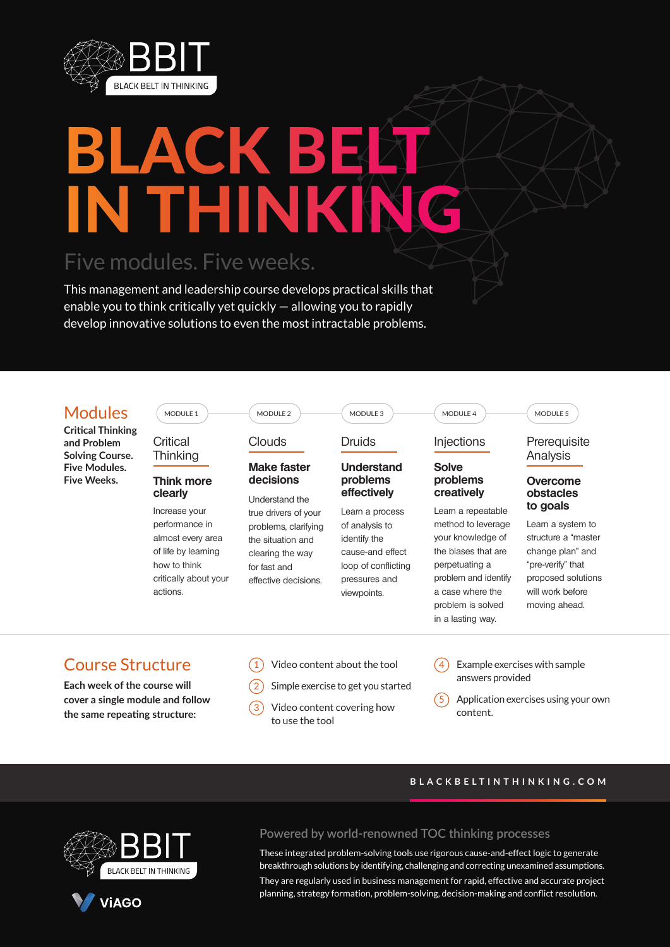

# LACK B IN THINKING

# Five modules. Five weeks.

This management and leadership course develops practical skills that enable you to think critically yet quickly — allowing you to rapidly develop innovative solutions to even the most intractable problems.



**Critical Thinking and Problem Solving Course. Five Modules. Five Weeks.**

**Critical Thinking** 

MODULE 1

#### **Think more clearly**

Increase your performance in almost every area of life by learning how to think critically about your actions.



### Clouds

#### **Make faster decisions**

Understand the true drivers of your problems, clarifying the situation and clearing the way for fast and effective decisions.

# Druids

#### **Understand problems effectively**

 $MODULE 3$   $MODULE 4$ 

Learn a process of analysis to identify the cause-and effect loop of conflicting pressures and viewpoints.

#### **Injections**

#### **Solve problems creatively**

Learn a repeatable method to leverage your knowledge of the biases that are perpetuating a problem and identify a case where the problem is solved in a lasting way.

#### MODULE 5

#### Prerequisite Analysis

#### **Overcome obstacles to goals**

Learn a system to structure a "master change plan" and "pre-verify" that proposed solutions will work before moving ahead.

# Course Structure

**Each week of the course will cover a single module and follow the same repeating structure:**

| $\widehat{1)}$ Video content about the tool |
|---------------------------------------------|
|                                             |

- Simple exercise to get you started
- Video content covering how to use the tool
- Example exercises with sample answers provided
- Application exercises using your own content.

#### **BLACKBELTINTHINKING.COM**



**ViAGO** 

#### **Powered by world-renowned TOC thinking processes**

These integrated problem-solving tools use rigorous cause-and-effect logic to generate breakthrough solutions by identifying, challenging and correcting unexamined assumptions.

They are regularly used in business management for rapid, effective and accurate project planning, strategy formation, problem-solving, decision-making and conflict resolution.